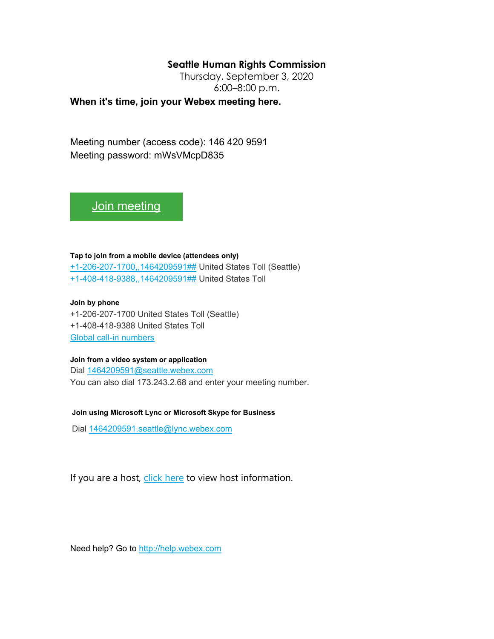## **Seattle Human Rights Commission**

Thursday, September 3, 2020 6:00–8:00 p.m.

**When it's time, join your Webex meeting here.** 

Meeting number (access code): 146 420 9591 Meeting password: mWsVMcpD835

[Join meeting](https://seattle.webex.com/seattle/j.php?MTID=m49f7594e25f02d32d84771c800e1e2e5)

**Tap to join from a mobile device (attendees only)** [+1-206-207-1700,,1464209591##](tel:%2B1-206-207-1700,,*01*1464209591%23%23*01*) United States Toll (Seattle)

[+1-408-418-9388,,1464209591##](tel:%2B1-408-418-9388,,*01*1464209591%23%23*01*) United States Toll

**Join by phone** +1-206-207-1700 United States Toll (Seattle) +1-408-418-9388 United States Toll [Global call-in numbers](https://seattle.webex.com/seattle/globalcallin.php?MTID=m2664b8c39f45030f3f504851cc3158eb)

## **Join from a video system or application**

Dial [1464209591@seattle.webex.com](sip:1464209591@seattle.webex.com) You can also dial 173.243.2.68 and enter your meeting number.

**Join using Microsoft Lync or Microsoft Skype for Business**

Dial [1464209591.seattle@lync.webex.com](sip:1464209591.seattle@lync.webex.com)

If you are a host, [click here](https://seattle.webex.com/seattle/j.php?MTID=m71b949d6f34024ef23d2d626c0adefc5) to view host information.

Need help? Go to [http://help.webex.com](http://help.webex.com/)